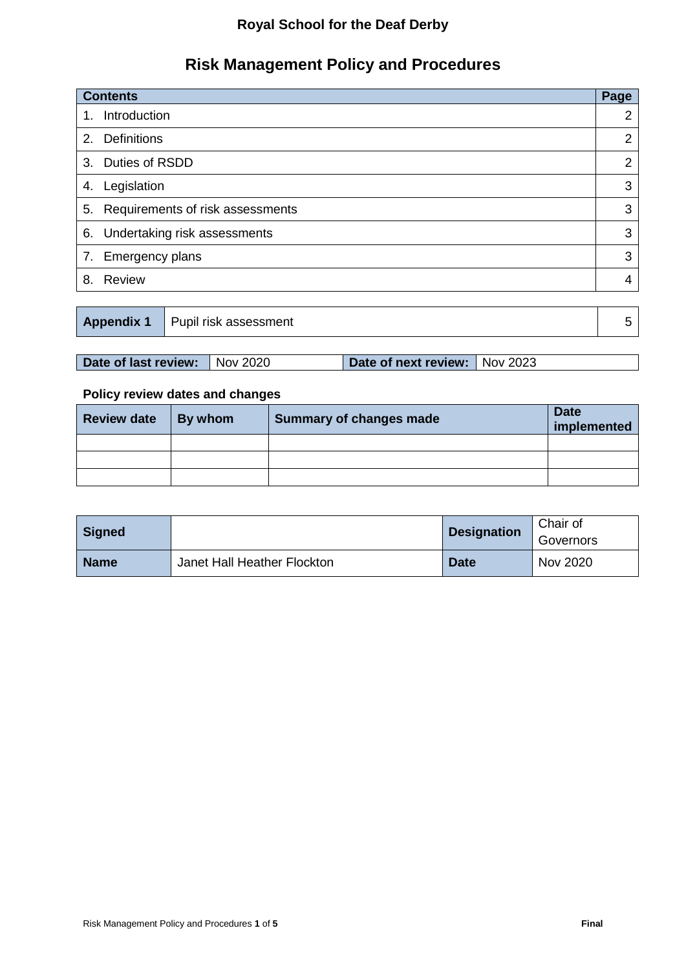## **Royal School for the Deaf Derby**

# **Risk Management Policy and Procedures**

| <b>Contents</b>                     | Page |
|-------------------------------------|------|
| Introduction<br>1.                  | 2    |
| <b>Definitions</b><br>2.            | 2    |
| Duties of RSDD<br>3.                | 2    |
| Legislation<br>4.                   | 3    |
| 5. Requirements of risk assessments | 3    |
| 6. Undertaking risk assessments     | 3    |
| 7. Emergency plans                  | 3    |
| <b>Review</b><br>8.                 |      |

|  | <b>Appendix 1</b> Pupil risk assessment |  |
|--|-----------------------------------------|--|
|--|-----------------------------------------|--|

| Date of last review: Nov 2020 | Date of next review: Nov 2023 |  |
|-------------------------------|-------------------------------|--|
|                               |                               |  |

### **Policy review dates and changes**

| <b>Review date</b> | By whom | <b>Summary of changes made</b> | <b>Date</b><br>implemented |
|--------------------|---------|--------------------------------|----------------------------|
|                    |         |                                |                            |
|                    |         |                                |                            |
|                    |         |                                |                            |

| <b>Signed</b> |                             | <b>Designation</b> | Chair of<br>Governors |
|---------------|-----------------------------|--------------------|-----------------------|
| <b>Name</b>   | Janet Hall Heather Flockton | <b>Date</b>        | Nov 2020              |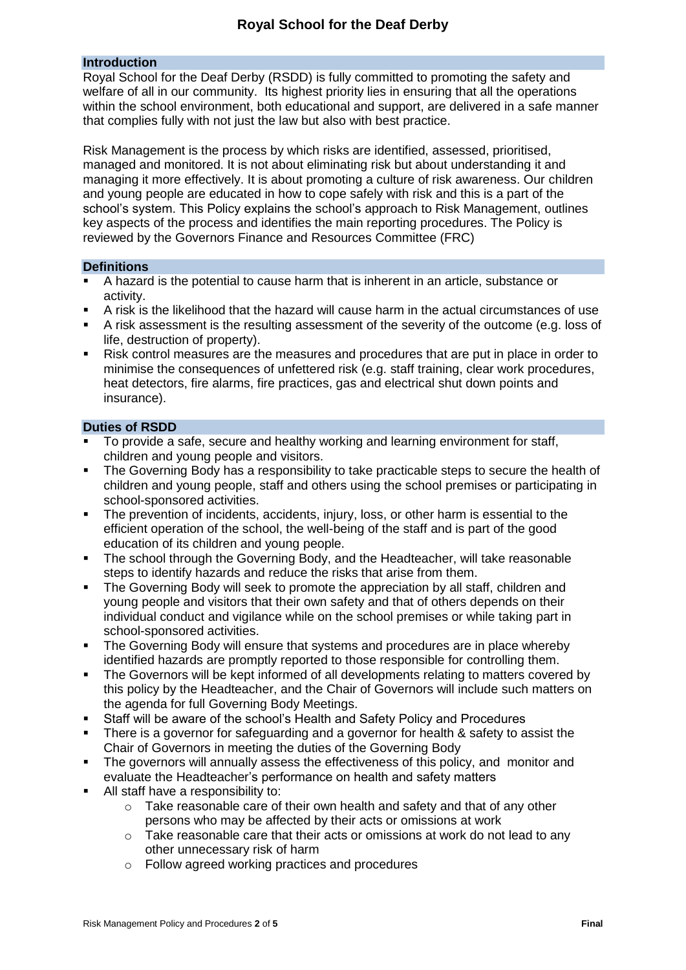#### **Introduction**

Royal School for the Deaf Derby (RSDD) is fully committed to promoting the safety and welfare of all in our community. Its highest priority lies in ensuring that all the operations within the school environment, both educational and support, are delivered in a safe manner that complies fully with not just the law but also with best practice.

Risk Management is the process by which risks are identified, assessed, prioritised, managed and monitored. It is not about eliminating risk but about understanding it and managing it more effectively. It is about promoting a culture of risk awareness. Our children and young people are educated in how to cope safely with risk and this is a part of the school's system. This Policy explains the school's approach to Risk Management, outlines key aspects of the process and identifies the main reporting procedures. The Policy is reviewed by the Governors Finance and Resources Committee (FRC)

#### **Definitions**

- A hazard is the potential to cause harm that is inherent in an article, substance or activity.
- A risk is the likelihood that the hazard will cause harm in the actual circumstances of use
- A risk assessment is the resulting assessment of the severity of the outcome (e.g. loss of life, destruction of property).
- Risk control measures are the measures and procedures that are put in place in order to minimise the consequences of unfettered risk (e.g. staff training, clear work procedures, heat detectors, fire alarms, fire practices, gas and electrical shut down points and insurance).

#### **Duties of RSDD**

- To provide a safe, secure and healthy working and learning environment for staff, children and young people and visitors.
- The Governing Body has a responsibility to take practicable steps to secure the health of children and young people, staff and others using the school premises or participating in school-sponsored activities.
- The prevention of incidents, accidents, injury, loss, or other harm is essential to the efficient operation of the school, the well-being of the staff and is part of the good education of its children and young people.
- The school through the Governing Body, and the Headteacher, will take reasonable steps to identify hazards and reduce the risks that arise from them.
- The Governing Body will seek to promote the appreciation by all staff, children and young people and visitors that their own safety and that of others depends on their individual conduct and vigilance while on the school premises or while taking part in school-sponsored activities.
- The Governing Body will ensure that systems and procedures are in place whereby identified hazards are promptly reported to those responsible for controlling them.
- The Governors will be kept informed of all developments relating to matters covered by this policy by the Headteacher, and the Chair of Governors will include such matters on the agenda for full Governing Body Meetings.
- Staff will be aware of the school's Health and Safety Policy and Procedures
- There is a governor for safeguarding and a governor for health & safety to assist the Chair of Governors in meeting the duties of the Governing Body
- The governors will annually assess the effectiveness of this policy, and monitor and evaluate the Headteacher's performance on health and safety matters
- All staff have a responsibility to:
	- $\circ$  Take reasonable care of their own health and safety and that of any other persons who may be affected by their acts or omissions at work
	- $\circ$  Take reasonable care that their acts or omissions at work do not lead to any other unnecessary risk of harm
	- o Follow agreed working practices and procedures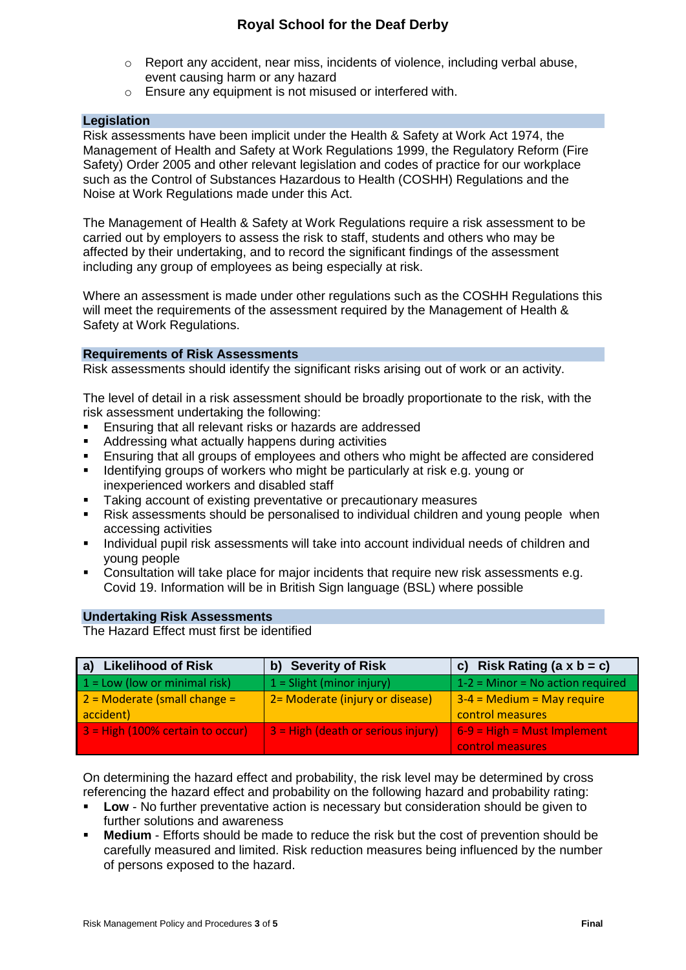## **Royal School for the Deaf Derby**

- $\circ$  Report any accident, near miss, incidents of violence, including verbal abuse, event causing harm or any hazard
- o Ensure any equipment is not misused or interfered with.

#### **Legislation**

Risk assessments have been implicit under the Health & Safety at Work Act 1974, the Management of Health and Safety at Work Regulations 1999, the Regulatory Reform (Fire Safety) Order 2005 and other relevant legislation and codes of practice for our workplace such as the Control of Substances Hazardous to Health (COSHH) Regulations and the Noise at Work Regulations made under this Act.

The Management of Health & Safety at Work Regulations require a risk assessment to be carried out by employers to assess the risk to staff, students and others who may be affected by their undertaking, and to record the significant findings of the assessment including any group of employees as being especially at risk.

Where an assessment is made under other regulations such as the COSHH Regulations this will meet the requirements of the assessment required by the Management of Health & Safety at Work Regulations.

#### **Requirements of Risk Assessments**

Risk assessments should identify the significant risks arising out of work or an activity.

The level of detail in a risk assessment should be broadly proportionate to the risk, with the risk assessment undertaking the following:

- Ensuring that all relevant risks or hazards are addressed
- Addressing what actually happens during activities
- Ensuring that all groups of employees and others who might be affected are considered
- **IDENTIFY IDENTIFY** 1 dentifying groups of workers who might be particularly at risk e.g. young or inexperienced workers and disabled staff
- Taking account of existing preventative or precautionary measures
- Risk assessments should be personalised to individual children and young people when accessing activities
- **Individual pupil risk assessments will take into account individual needs of children and** young people
- **Consultation will take place for major incidents that require new risk assessments e.g.** Covid 19. Information will be in British Sign language (BSL) where possible

#### **Undertaking Risk Assessments**

The Hazard Effect must first be identified

| a) Likelihood of Risk                       | b) Severity of Risk                             | c) Risk Rating $(a \times b = c)$                 |
|---------------------------------------------|-------------------------------------------------|---------------------------------------------------|
| $1 =$ Low (low or minimal risk)             | $1 =$ Slight (minor injury)                     | $1-2$ = Minor = No action required                |
| $2$ = Moderate (small change =<br>accident) | 2 = Moderate (injury or disease)                | $3-4$ = Medium = May require<br>control measures  |
| 3 = High (100% certain to occur)            | $\overline{3}$ = High (death or serious injury) | $6-9$ = High = Must Implement<br>control measures |

On determining the hazard effect and probability, the risk level may be determined by cross referencing the hazard effect and probability on the following hazard and probability rating:

- **Low** No further preventative action is necessary but consideration should be given to further solutions and awareness
- **Medium** Efforts should be made to reduce the risk but the cost of prevention should be carefully measured and limited. Risk reduction measures being influenced by the number of persons exposed to the hazard.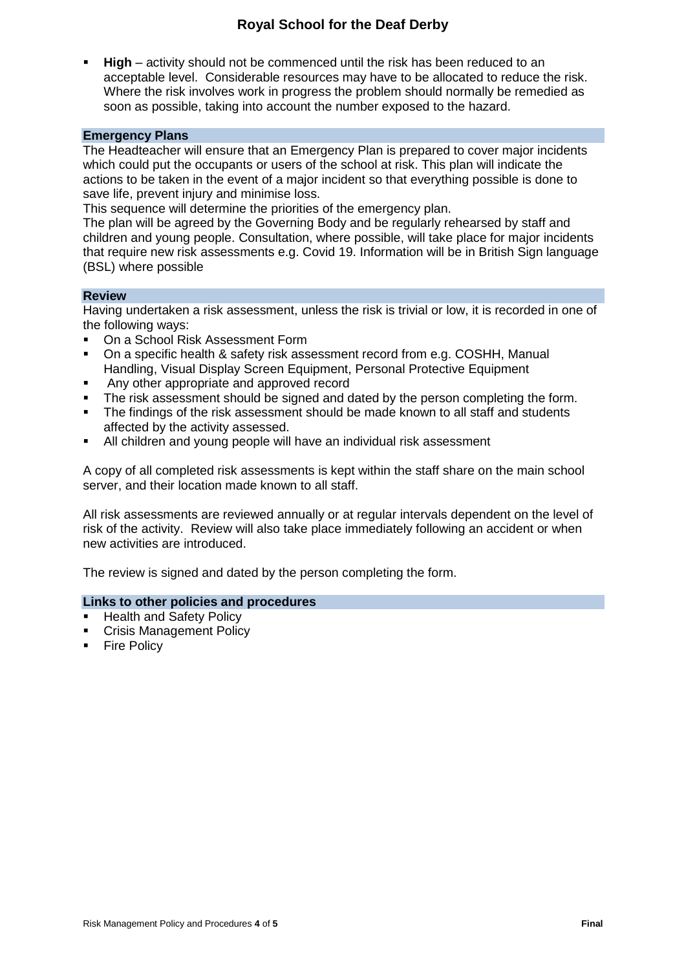## **Royal School for the Deaf Derby**

 **High** – activity should not be commenced until the risk has been reduced to an acceptable level. Considerable resources may have to be allocated to reduce the risk. Where the risk involves work in progress the problem should normally be remedied as soon as possible, taking into account the number exposed to the hazard.

#### **Emergency Plans**

The Headteacher will ensure that an Emergency Plan is prepared to cover major incidents which could put the occupants or users of the school at risk. This plan will indicate the actions to be taken in the event of a major incident so that everything possible is done to save life, prevent injury and minimise loss.

This sequence will determine the priorities of the emergency plan.

The plan will be agreed by the Governing Body and be regularly rehearsed by staff and children and young people. Consultation, where possible, will take place for major incidents that require new risk assessments e.g. Covid 19. Information will be in British Sign language (BSL) where possible

#### **Review**

Having undertaken a risk assessment, unless the risk is trivial or low, it is recorded in one of the following ways:

- On a School Risk Assessment Form
- On a specific health & safety risk assessment record from e.g. COSHH, Manual Handling, Visual Display Screen Equipment, Personal Protective Equipment
- Any other appropriate and approved record
- The risk assessment should be signed and dated by the person completing the form.
- The findings of the risk assessment should be made known to all staff and students affected by the activity assessed.
- All children and young people will have an individual risk assessment

A copy of all completed risk assessments is kept within the staff share on the main school server, and their location made known to all staff.

All risk assessments are reviewed annually or at regular intervals dependent on the level of risk of the activity. Review will also take place immediately following an accident or when new activities are introduced.

The review is signed and dated by the person completing the form.

#### **Links to other policies and procedures**

- Health and Safety Policy
- Crisis Management Policy
- **Fire Policy**